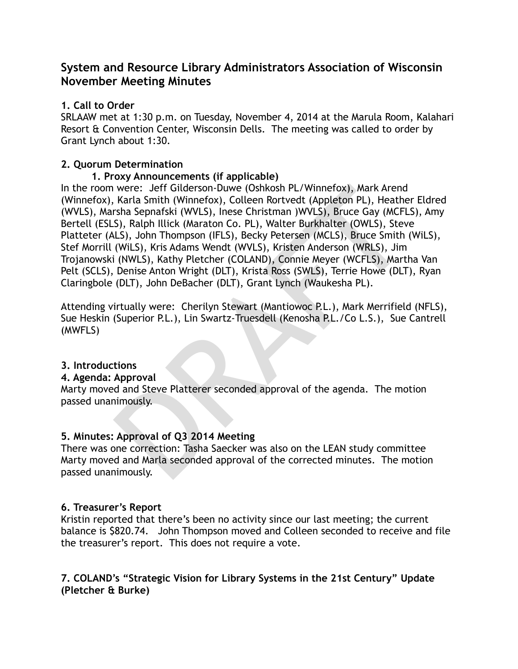# **System and Resource Library Administrators Association of Wisconsin November Meeting Minutes**

### **1. Call to Order**

SRLAAW met at 1:30 p.m. on Tuesday, November 4, 2014 at the Marula Room, Kalahari Resort & Convention Center, Wisconsin Dells. The meeting was called to order by Grant Lynch about 1:30.

### **2. Quorum Determination**

### **1. Proxy Announcements (if applicable)**

were: Jeff Gilderson-Duwe (Oshkosh PL/Winnefox), Mark Arend<br>Karla Smith (Winnefox), Colleen Rortvedt (Appleton PL), Heathe<br>Tsha Sepnafski (WVLS), Inese Christman )WVLS), Bruce Gay (MCFL<br>S), Ralph Illick (Maraton Co. PL), W In the room were: Jeff Gilderson-Duwe (Oshkosh PL/Winnefox), Mark Arend (Winnefox), Karla Smith (Winnefox), Colleen Rortvedt (Appleton PL), Heather Eldred (WVLS), Marsha Sepnafski (WVLS), Inese Christman )WVLS), Bruce Gay (MCFLS), Amy Bertell (ESLS), Ralph Illick (Maraton Co. PL), Walter Burkhalter (OWLS), Steve Platteter (ALS), John Thompson (IFLS), Becky Petersen (MCLS), Bruce Smith (WiLS), Stef Morrill (WiLS), Kris Adams Wendt (WVLS), Kristen Anderson (WRLS), Jim Trojanowski (NWLS), Kathy Pletcher (COLAND), Connie Meyer (WCFLS), Martha Van Pelt (SCLS), Denise Anton Wright (DLT), Krista Ross (SWLS), Terrie Howe (DLT), Ryan Claringbole (DLT), John DeBacher (DLT), Grant Lynch (Waukesha PL).

Attending virtually were: Cherilyn Stewart (Mantiowoc P.L.), Mark Merrifield (NFLS), Sue Heskin (Superior P.L.), Lin Swartz-Truesdell (Kenosha P.L./Co L.S.), Sue Cantrell (MWFLS)

# **3. Introductions**

### **4. Agenda: Approval**

Marty moved and Steve Platterer seconded approval of the agenda. The motion passed unanimously.

# **5. Minutes: Approval of Q3 2014 Meeting**

There was one correction: Tasha Saecker was also on the LEAN study committee Marty moved and Marla seconded approval of the corrected minutes. The motion passed unanimously.

### **6. Treasurer's Report**

Kristin reported that there's been no activity since our last meeting; the current balance is \$820.74. John Thompson moved and Colleen seconded to receive and file the treasurer's report. This does not require a vote.

### **7. COLAND's "Strategic Vision for Library Systems in the 21st Century" Update (Pletcher & Burke)**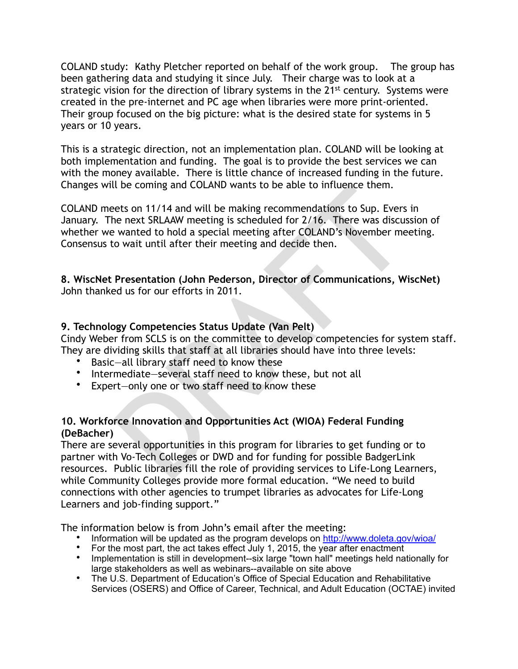COLAND study: Kathy Pletcher reported on behalf of the work group. The group has been gathering data and studying it since July. Their charge was to look at a strategic vision for the direction of library systems in the 21<sup>st</sup> century. Systems were created in the pre-internet and PC age when libraries were more print-oriented. Their group focused on the big picture: what is the desired state for systems in 5 years or 10 years.

This is a strategic direction, not an implementation plan. COLAND will be looking at both implementation and funding. The goal is to provide the best services we can with the money available. There is little chance of increased funding in the future. Changes will be coming and COLAND wants to be able to influence them.

It be coming and COLAND wants to be able to influence them.<br>
Yests on 11/14 and will be making recommendations to Sup. Evers<br>
re next SRLAAW meeting is scheduled for 2/16. There was discus<br>
wanted to hold a special meeting COLAND meets on 11/14 and will be making recommendations to Sup. Evers in January. The next SRLAAW meeting is scheduled for 2/16. There was discussion of whether we wanted to hold a special meeting after COLAND's November meeting. Consensus to wait until after their meeting and decide then.

#### **8. WiscNet Presentation (John Pederson, Director of Communications, WiscNet)**  John thanked us for our efforts in 2011.

### **9. Technology Competencies Status Update (Van Pelt)**

Cindy Weber from SCLS is on the committee to develop competencies for system staff. They are dividing skills that staff at all libraries should have into three levels:

- Basic-all library staff need to know these
- Intermediate—several staff need to know these, but not all
- Expert—only one or two staff need to know these

#### **10. Workforce Innovation and Opportunities Act (WIOA) Federal Funding (DeBacher)**

There are several opportunities in this program for libraries to get funding or to partner with Vo-Tech Colleges or DWD and for funding for possible BadgerLink resources. Public libraries fill the role of providing services to Life-Long Learners, while Community Colleges provide more formal education. "We need to build connections with other agencies to trumpet libraries as advocates for Life-Long Learners and job-finding support."

The information below is from John's email after the meeting:

- Information will be updated as the program develops on <http://www.doleta.gov/wioa/>
- For the most part, the act takes effect July 1, 2015, the year after enactment
- Implementation is still in development--six large "town hall" meetings held nationally for large stakeholders as well as webinars--available on site above
- The U.S. Department of Education's Office of Special Education and Rehabilitative Services (OSERS) and Office of Career, Technical, and Adult Education (OCTAE) invited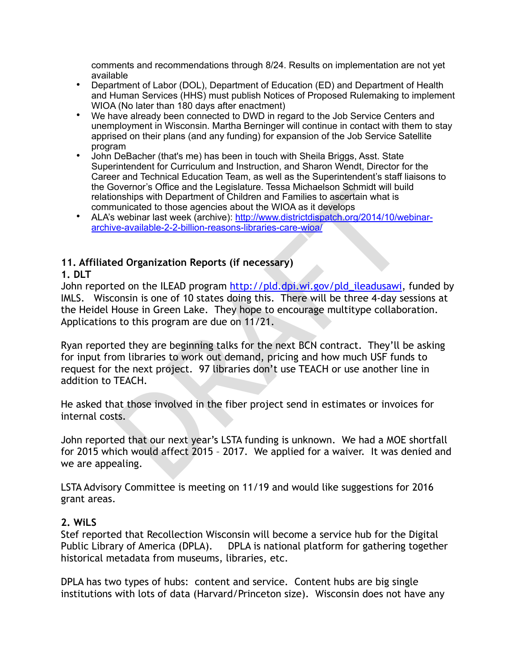comments and recommendations through 8/24. Results on implementation are not yet available

- Department of Labor (DOL), Department of Education (ED) and Department of Health and Human Services (HHS) must publish Notices of Proposed Rulemaking to implement WIOA (No later than 180 days after enactment)
- We have already been connected to DWD in regard to the Job Service Centers and unemployment in Wisconsin. Martha Berninger will continue in contact with them to stay apprised on their plans (and any funding) for expansion of the Job Service Satellite program
- John DeBacher (that's me) has been in touch with Sheila Briggs, Asst. State Superintendent for Curriculum and Instruction, and Sharon Wendt, Director for the Career and Technical Education Team, as well as the Superintendent's staff liaisons to the Governor's Office and the Legislature. Tessa Michaelson Schmidt will build relationships with Department of Children and Families to ascertain what is communicated to those agencies about the WIOA as it develops
- ALA's webinar last week (archive): http://www.districtdispatch.org/2014/10/webinararchive-available-2-2-billion-reasons-libraries-care-wioa/

### **11. Affiliated Organization Reports (if necessary)**

### **1. DLT**

iovernor's Office and the Legislature. [T](http://www.districtdispatch.org/2014/10/webinar-archive-available-2-2-billion-reasons-libraries-care-wioa/)essa Michaelson Schmidt will builentonships with Department of Children and Families to assertain what is twebinar last week (archive): http://www.districtdispatch.org/2014/10/we<br>e-a John reported on the ILEAD program http://pld.dpi.wi.gov/pld\_ileadusawi, funded by IMLS. Wisconsin is one of 10 states doing this. There will be three 4-day sessions at the Heidel House in Green Lake. They hope to encourage multitype collaboration. Applications to this program are due on 11/21.

Ryan reported they are beginning talks for the next BCN contract. They'll be asking for input from libraries to work out demand, pricing and how much USF funds to request for the next project. 97 libraries don't use TEACH or use another line in addition to TEACH.

He asked that those involved in the fiber project send in estimates or invoices for internal costs.

John reported that our next year's LSTA funding is unknown. We had a MOE shortfall for 2015 which would affect 2015 – 2017. We applied for a waiver. It was denied and we are appealing.

LSTA Advisory Committee is meeting on 11/19 and would like suggestions for 2016 grant areas.

# **2. WiLS**

Stef reported that Recollection Wisconsin will become a service hub for the Digital Public Library of America (DPLA). DPLA is national platform for gathering together historical metadata from museums, libraries, etc.

DPLA has two types of hubs: content and service. Content hubs are big single institutions with lots of data (Harvard/Princeton size). Wisconsin does not have any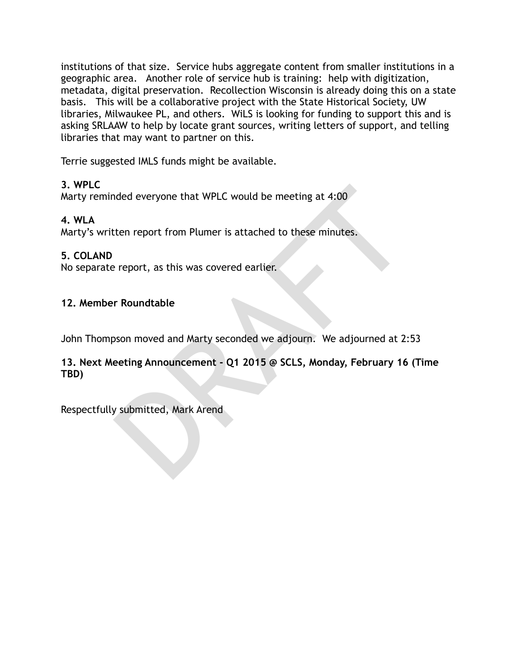institutions of that size. Service hubs aggregate content from smaller institutions in a geographic area. Another role of service hub is training: help with digitization, metadata, digital preservation. Recollection Wisconsin is already doing this on a state basis. This will be a collaborative project with the State Historical Society, UW libraries, Milwaukee PL, and others. WiLS is looking for funding to support this and is asking SRLAAW to help by locate grant sources, writing letters of support, and telling libraries that may want to partner on this.

Terrie suggested IMLS funds might be available.

### **3. WPLC**

Marty reminded everyone that WPLC would be meeting at 4:00

# **4. WLA**

Marty's written report from Plumer is attached to these minutes.

# **5. COLAND**

No separate report, as this was covered earlier.

### **12. Member Roundtable**

John Thompson moved and Marty seconded we adjourn. We adjourned at 2:53

nded everyone that WPLC would be meeting at 4:00<br>tten report from Plumer is attached to these minutes.<br>Preport, as this was covered earlier.<br>The Roundtable<br>poson moved and Marty seconded we adjourn. We adjourned at 2:<br>eeti **13. Next Meeting Announcement - Q1 2015 @ SCLS, Monday, February 16 (Time TBD)** 

Respectfully submitted, Mark Arend